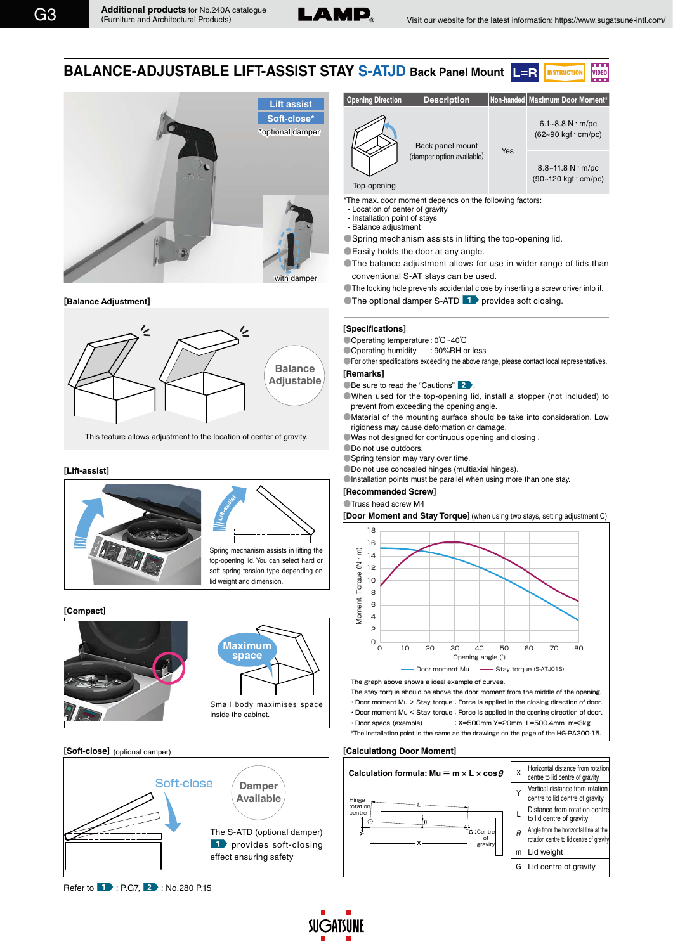

VIDEO

**BALANCE-ADJUSTABLE LIFT-ASSIST STAY S-ATJD Back Panel Mount** INSTRUCTIO



**[Balance Adjustment]** 



This feature allows adjustment to the location of center of gravity.

## **[Lift-assist]**



## **[Compact]**



## **[Soft-close]** (optional damper)





\*The max. door moment depends on the following factors:

- Location of center of gravity
- Installation point of stays - Balance adjustment
- ●Spring mechanism assists in lifting the top-opening lid.
- **Easily holds the door at any angle.**
- **•The balance adjustment allows for use in wider range of lids than** conventional S-AT stays can be used.

●The locking hole prevents accidental close by inserting a screw driver into it.

 $\blacksquare$  The optional damper S-ATD  $\blacksquare$  provides soft closing.

## **[Specifications]**

●Operating temperature : 0℃~40℃

●Operating humidity : 90%RH or less

●For other specifications exceeding the above range, please contact local representatives. **[Remarks]**

**Be sure to read the "Cautions"** 2.

●When used for the top-opening lid, install a stopper (not included) to prevent from exceeding the opening angle.

●Material of the mounting surface should be take into consideration. Low rigidness may cause deformation or damage.

●Was not designed for continuous opening and closing .

●Do not use outdoors.

●Spring tension may vary over time.

●Do not use concealed hinges (multiaxial hinges).

 $\bullet$  Installation points must be parallel when using more than one stay.

#### **[Recommended Screw]**

●Truss head screw M4

**Exercise of Truss head screw M4**<br> **[Door Moment and Stay Torque]** (when using two stays, setting adjustment C)



・Door moment Mu > Stay torque:Force is applied in the closing direction of door. The stay torque should be above the door moment from the middle of the opening.

・Door moment Mu < Stay torque:Force is applied in the opening direction of door. ・Door specs (example) :X=500mm Y=20mm L=500.4mm m=3kg \*The installation point is the same as the drawings on the page of the HG-PA300-15.

## **[Calculationg Door Moment]**

**SUGATSUNE**